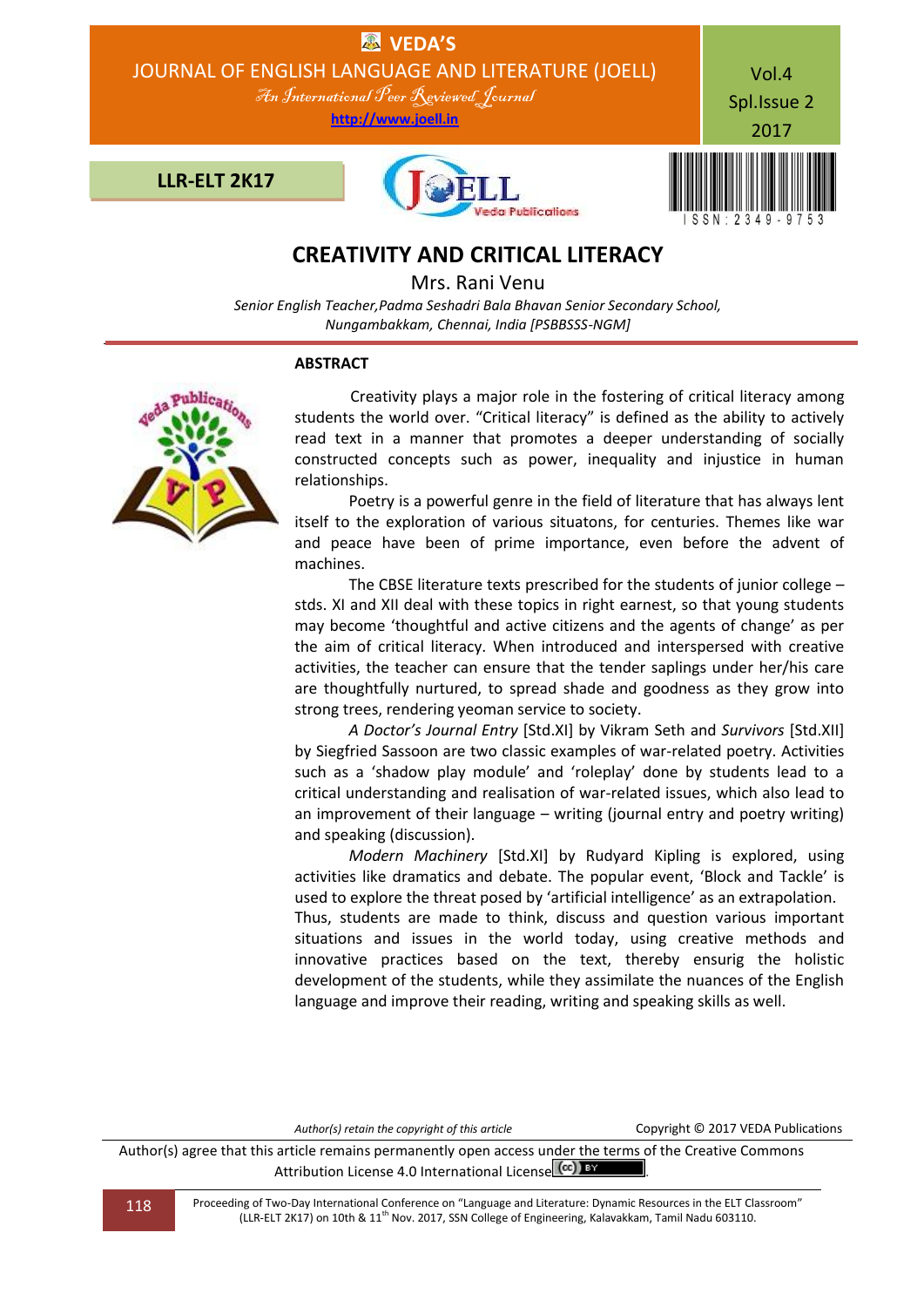

# **CREATIVITY AND CRITICAL LITERACY**

Mrs. Rani Venu

*Senior English Teacher,Padma Seshadri Bala Bhavan Senior Secondary School, Nungambakkam, Chennai, India [PSBBSSS-NGM]*

# **ABSTRACT**



Creativity plays a major role in the fostering of critical literacy among students the world over. "Critical literacy" is defined as the ability to actively read text in a manner that promotes a deeper understanding of socially constructed concepts such as power, inequality and injustice in human relationships.

 Poetry is a powerful genre in the field of literature that has always lent itself to the exploration of various situatons, for centuries. Themes like war and peace have been of prime importance, even before the advent of machines.

 The CBSE literature texts prescribed for the students of junior college – stds. XI and XII deal with these topics in right earnest, so that young students may become 'thoughtful and active citizens and the agents of change' as per the aim of critical literacy. When introduced and interspersed with creative activities, the teacher can ensure that the tender saplings under her/his care are thoughtfully nurtured, to spread shade and goodness as they grow into strong trees, rendering yeoman service to society.

 *A Doctor's Journal Entry* [Std.XI] by Vikram Seth and *Survivors* [Std.XII] by Siegfried Sassoon are two classic examples of war-related poetry. Activities such as a 'shadow play module' and 'roleplay' done by students lead to a critical understanding and realisation of war-related issues, which also lead to an improvement of their language – writing (journal entry and poetry writing) and speaking (discussion).

 *Modern Machinery* [Std.XI] by Rudyard Kipling is explored, using activities like dramatics and debate. The popular event, 'Block and Tackle' is used to explore the threat posed by 'artificial intelligence' as an extrapolation. Thus, students are made to think, discuss and question various important situations and issues in the world today, using creative methods and innovative practices based on the text, thereby ensurig the holistic development of the students, while they assimilate the nuances of the English language and improve their reading, writing and speaking skills as well.

Author(s) retain the copyright of this article **Copyright © 2017 VEDA Publications** 

Author(s) agree that this article remains permanently open access under the terms of the Creative Commons Attribution License 4.0 International License (cc) BY

118 Proceeding of Two-Day International Conference on "Language and Literature: Dynamic Resources in the ELT Classroom" (LLR-ELT 2K17) on 10th & 11<sup>th</sup> Nov. 2017, SSN College of Engineering, Kalavakkam, Tamil Nadu 603110.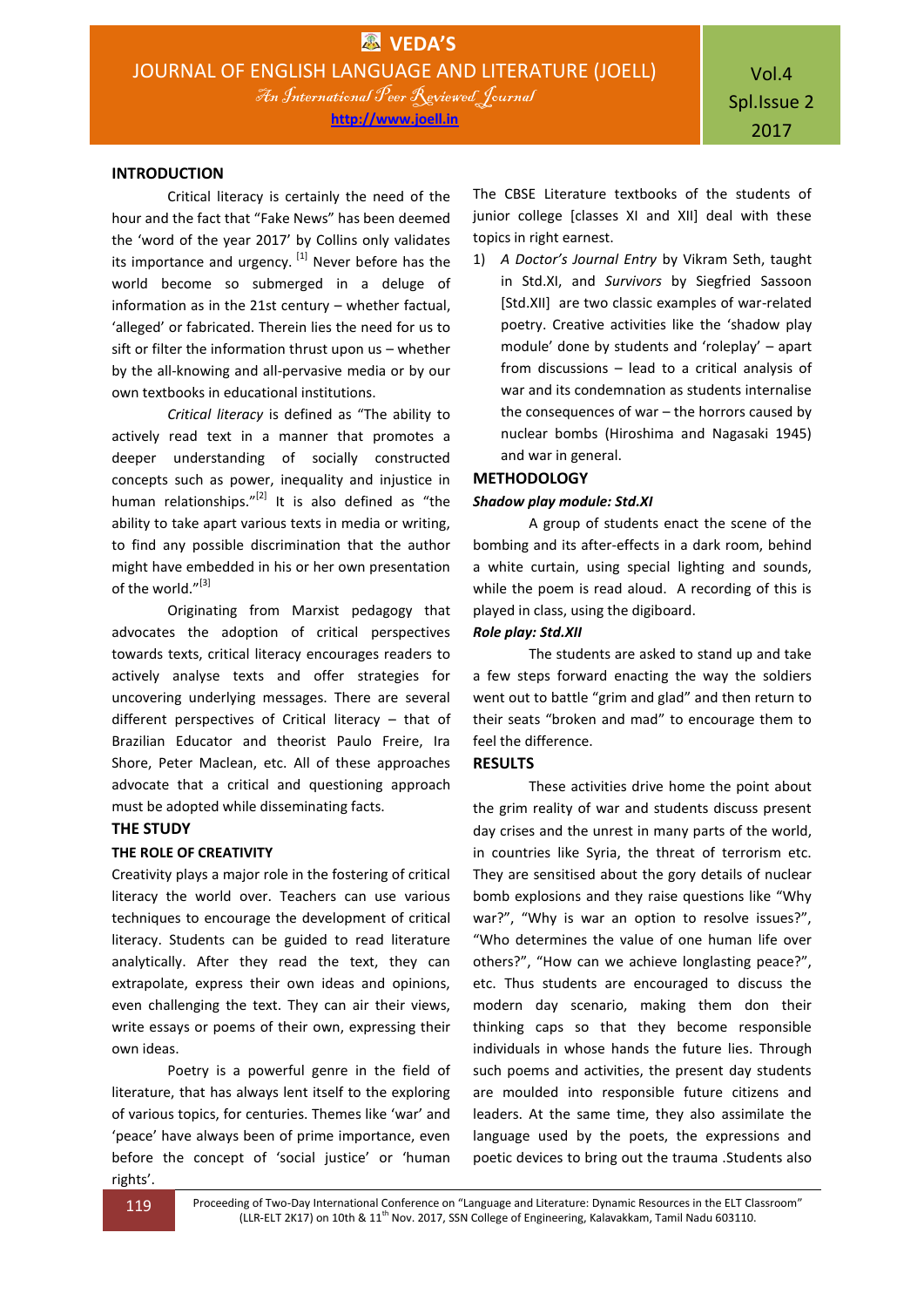#### **INTRODUCTION**

Critical literacy is certainly the need of the hour and the fact that "Fake News" has been deemed the 'word of the year 2017' by Collins only validates its importance and urgency.  $[1]$  Never before has the world become so submerged in a deluge of information as in the 21st century – whether factual, 'alleged' or fabricated. Therein lies the need for us to sift or filter the information thrust upon us – whether by the all-knowing and all-pervasive media or by our own textbooks in educational institutions.

*Critical literacy* is defined as "The ability to actively read text in a manner that promotes a deeper understanding of socially constructed concepts such as power, inequality and injustice in human relationships."<sup>[2]</sup> It is also defined as "the ability to take apart various texts in media or writing, to find any possible discrimination that the author might have embedded in his or her own presentation of the world."<sup>[3]</sup>

Originating from Marxist pedagogy that advocates the adoption of critical perspectives towards texts, critical literacy encourages readers to actively analyse texts and offer strategies for uncovering underlying messages. There are several different perspectives of Critical literacy – that of Brazilian Educator and theorist Paulo Freire, Ira Shore, Peter Maclean, etc. All of these approaches advocate that a critical and questioning approach must be adopted while disseminating facts.

## **THE STUDY**

#### **THE ROLE OF CREATIVITY**

Creativity plays a major role in the fostering of critical literacy the world over. Teachers can use various techniques to encourage the development of critical literacy. Students can be guided to read literature analytically. After they read the text, they can extrapolate, express their own ideas and opinions, even challenging the text. They can air their views, write essays or poems of their own, expressing their own ideas.

Poetry is a powerful genre in the field of literature, that has always lent itself to the exploring of various topics, for centuries. Themes like 'war' and 'peace' have always been of prime importance, even before the concept of 'social justice' or 'human rights'.

The CBSE Literature textbooks of the students of junior college [classes XI and XII] deal with these topics in right earnest.

1) *A Doctor's Journal Entry* by Vikram Seth, taught in Std.XI, and *Survivors* by Siegfried Sassoon [Std.XII] are two classic examples of war-related poetry. Creative activities like the 'shadow play module' done by students and 'roleplay' – apart from discussions – lead to a critical analysis of war and its condemnation as students internalise the consequences of war – the horrors caused by nuclear bombs (Hiroshima and Nagasaki 1945) and war in general.

# **METHODOLOGY**

# *Shadow play module: Std.XI*

A group of students enact the scene of the bombing and its after-effects in a dark room, behind a white curtain, using special lighting and sounds, while the poem is read aloud. A recording of this is played in class, using the digiboard.

### *Role play: Std.XII*

The students are asked to stand up and take a few steps forward enacting the way the soldiers went out to battle "grim and glad" and then return to their seats "broken and mad" to encourage them to feel the difference.

# **RESULTS**

These activities drive home the point about the grim reality of war and students discuss present day crises and the unrest in many parts of the world, in countries like Syria, the threat of terrorism etc. They are sensitised about the gory details of nuclear bomb explosions and they raise questions like "Why war?", "Why is war an option to resolve issues?", "Who determines the value of one human life over others?", "How can we achieve longlasting peace?", etc. Thus students are encouraged to discuss the modern day scenario, making them don their thinking caps so that they become responsible individuals in whose hands the future lies. Through such poems and activities, the present day students are moulded into responsible future citizens and leaders. At the same time, they also assimilate the language used by the poets, the expressions and poetic devices to bring out the trauma .Students also